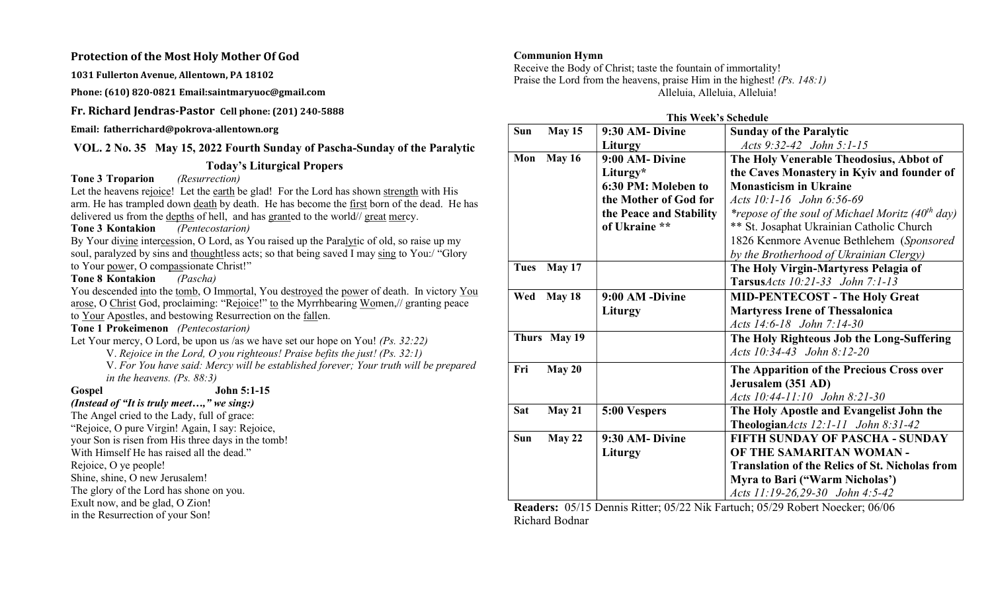### Protection of the Most Holy Mother Of God

1031 Fullerton Avenue, Allentown, PA 18102

Phone: (610) 820-0821 Email:saintmaryuoc@gmail.com

Fr. Richard Jendras-Pastor Cell phone: (201) 240-5888

Email: fatherrichard@pokrova-allentown.org

# VOL. 2 No. 35 May 15, 2022 Fourth Sunday of Pascha-Sunday of the Paralytic

# Today's Liturgical Propers

Tone 3 Troparion (Resurrection)

Let the heavens rejoice! Let the earth be glad! For the Lord has shown strength with His arm. He has trampled down death by death. He has become the first born of the dead. He has delivered us from the <u>depths</u> of hell, and has granted to the world// great mercy.<br>Tone 3 Kontakion (*Pentecostarion*)

Tone 3 Kontakion

By Your divine intercession, O Lord, as You raised up the Paralytic of old, so raise up my soul, paralyzed by sins and thoughtless acts; so that being saved I may sing to You:/ "Glory" to Your power, O compassionate Christ!"

Tone 8 Kontakion *(Pascha)* 

You descended into the tomb, O Immortal, You destroyed the power of death. In victory You arose, O Christ God, proclaiming: "Rejoice!" to the Myrrhbearing Women,// granting peace to Your Apostles, and bestowing Resurrection on the fallen.

### Tone 1 Prokeimenon (Pentecostarion)

Let Your mercy, O Lord, be upon us /as we have set our hope on You! (Ps. 32:22)

V. Rejoice in the Lord, O you righteous! Praise befits the just! (Ps. 32:1)

V. For You have said: Mercy will be established forever; Your truth will be prepared in the heavens. (Ps. 88:3)

Gospel John 5:1-15

(Instead of "It is truly meet...," we sing:) The Angel cried to the Lady, full of grace: "Rejoice, O pure Virgin! Again, I say: Rejoice, your Son is risen from His three days in the tomb! With Himself He has raised all the dead." Rejoice, O ye people! Shine, shine, O new Jerusalem! The glory of the Lord has shone on you. Exult now, and be glad, O Zion! in the Resurrection of your Son!

## Communion Hymn

Receive the Body of Christ; taste the fountain of immortality! Praise the Lord from the heavens, praise Him in the highest! (Ps. 148:1) Alleluia, Alleluia, Alleluia!

|  |  |  | This Week's Schedule |  |
|--|--|--|----------------------|--|
|--|--|--|----------------------|--|

| Sun         | May 15        | 9:30 AM-Divine          | <b>Sunday of the Paralytic</b>                                     |  |
|-------------|---------------|-------------------------|--------------------------------------------------------------------|--|
|             |               | Liturgy                 | Acts 9:32-42 John 5:1-15                                           |  |
| Mon         | <b>May 16</b> | 9:00 AM- Divine         | The Holy Venerable Theodosius, Abbot of                            |  |
|             |               | Liturgy*                | the Caves Monastery in Kyiv and founder of                         |  |
|             |               | 6:30 PM: Moleben to     | <b>Monasticism in Ukraine</b>                                      |  |
|             |               | the Mother of God for   | Acts 10:1-16 John 6:56-69                                          |  |
|             |               | the Peace and Stability | <i>*repose of the soul of Michael Moritz (40<sup>th</sup> day)</i> |  |
|             |               | of Ukraine **           | ** St. Josaphat Ukrainian Catholic Church                          |  |
|             |               |                         | 1826 Kenmore Avenue Bethlehem (Sponsored                           |  |
|             |               |                         | by the Brotherhood of Ukrainian Clergy)                            |  |
| <b>Tues</b> | May 17        |                         | The Holy Virgin-Martyress Pelagia of                               |  |
|             |               |                         | <b>Tarsus</b> $Acts$ 10:21-33 John 7:1-13                          |  |
| Wed         | May 18        | 9:00 AM -Divine         | <b>MID-PENTECOST - The Holy Great</b>                              |  |
|             |               | Liturgy                 | <b>Martyress Irene of Thessalonica</b>                             |  |
|             |               |                         | Acts 14:6-18 John 7:14-30                                          |  |
|             | Thurs May 19  |                         | The Holy Righteous Job the Long-Suffering                          |  |
|             |               |                         | Acts 10:34-43 John 8:12-20                                         |  |
| Fri         | May 20        |                         | The Apparition of the Precious Cross over                          |  |
|             |               |                         | Jerusalem (351 AD)                                                 |  |
|             |               |                         | Acts 10:44-11:10 John 8:21-30                                      |  |
| <b>Sat</b>  | May 21        | 5:00 Vespers            | The Holy Apostle and Evangelist John the                           |  |
|             |               |                         | TheologianActs 12:1-11 John 8:31-42                                |  |
| Sun         | May 22        | 9:30 AM-Divine          | <b>FIFTH SUNDAY OF PASCHA - SUNDAY</b>                             |  |
|             |               | Liturgy                 | OF THE SAMARITAN WOMAN -                                           |  |
|             |               |                         | <b>Translation of the Relics of St. Nicholas from</b>              |  |
|             |               |                         | Myra to Bari ("Warm Nicholas")                                     |  |
|             |               |                         | Acts 11:19-26,29-30 John 4:5-42                                    |  |

Readers: 05/15 Dennis Ritter; 05/22 Nik Fartuch; 05/29 Robert Noecker; 06/06 Richard Bodnar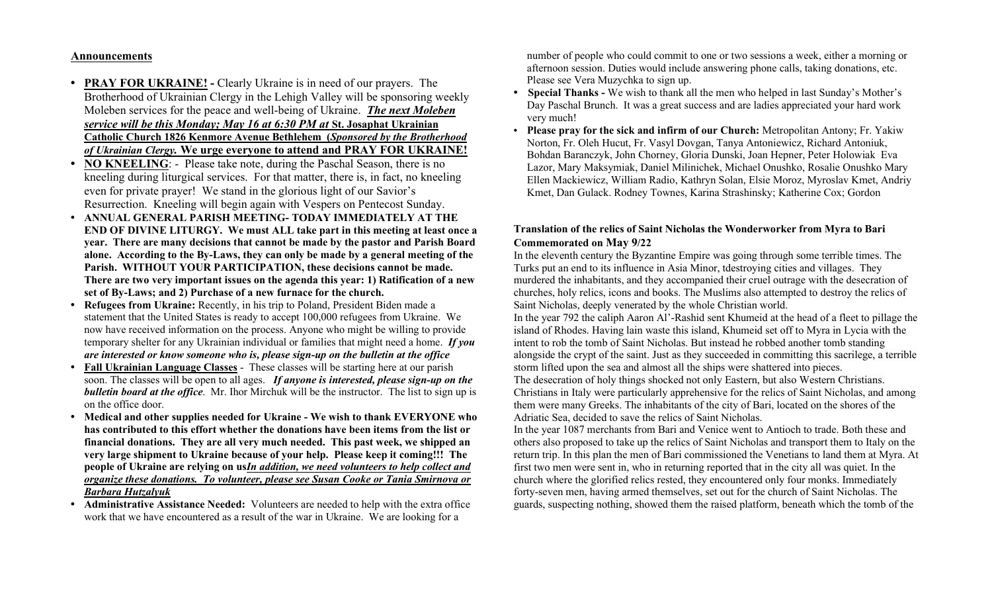### Announcements

- **PRAY FOR UKRAINE!** Clearly Ukraine is in need of our prayers. The Brotherhood of Ukrainian Clergy in the Lehigh Valley will be sponsoring weekly Moleben services for the peace and well-being of Ukraine. The next Moleben service will be this Monday; May 16 at 6:30 PM at St. Josaphat Ukrainian Catholic Church 1826 Kenmore Avenue Bethlehem (Sponsored by the Brotherhood of Ukrainian Clergy. We urge everyone to attend and PRAY FOR UKRAINE!
- NO KNEELING: Please take note, during the Paschal Season, there is no kneeling during liturgical services. For that matter, there is, in fact, no kneeling even for private prayer! We stand in the glorious light of our Savior's Resurrection. Kneeling will begin again with Vespers on Pentecost Sunday.
- ANNUAL GENERAL PARISH MEETING- TODAY IMMEDIATELY AT THE END OF DIVINE LITURGY. We must ALL take part in this meeting at least once a year. There are many decisions that cannot be made by the pastor and Parish Board alone. According to the By-Laws, they can only be made by a general meeting of the Parish. WITHOUT YOUR PARTICIPATION, these decisions cannot be made. There are two very important issues on the agenda this year: 1) Ratification of a new set of By-Laws; and 2) Purchase of a new furnace for the church.
- Refugees from Ukraine: Recently, in his trip to Poland, President Biden made a statement that the United States is ready to accept 100,000 refugees from Ukraine. We now have received information on the process. Anyone who might be willing to provide temporary shelter for any Ukrainian individual or families that might need a home. If you are interested or know someone who is, please sign-up on the bulletin at the office
- Fall Ukrainian Language Classes These classes will be starting here at our parish soon. The classes will be open to all ages. If anyone is interested, please sign-up on the **bulletin board at the office.** Mr. Ihor Mirchuk will be the instructor. The list to sign up is on the office door.
- Medical and other supplies needed for Ukraine We wish to thank EVERYONE who has contributed to this effort whether the donations have been items from the list or financial donations. They are all very much needed. This past week, we shipped an very large shipment to Ukraine because of your help. Please keep it coming!!! The people of Ukraine are relying on usIn addition, we need volunteers to help collect and organize these donations. To volunteer, please see Susan Cooke or Tania Smirnova or Barbara Hutzalyuk
- Administrative Assistance Needed: Volunteers are needed to help with the extra office work that we have encountered as a result of the war in Ukraine. We are looking for a

number of people who could commit to one or two sessions a week, either a morning or afternoon session. Duties would include answering phone calls, taking donations, etc. Please see Vera Muzychka to sign up.

- Special Thanks We wish to thank all the men who helped in last Sunday's Mother's Day Paschal Brunch. It was a great success and are ladies appreciated your hard work very much!
- Please pray for the sick and infirm of our Church: Metropolitan Antony; Fr. Yakiw Norton, Fr. Oleh Hucut, Fr. Vasyl Dovgan, Tanya Antoniewicz, Richard Antoniuk, Bohdan Baranczyk, John Chorney, Gloria Dunski, Joan Hepner, Peter Holowiak Eva Lazor, Mary Maksymiak, Daniel Milinichek, Michael Onushko, Rosalie Onushko Mary Ellen Mackiewicz, William Radio, Kathryn Solan, Elsie Moroz, Myroslav Kmet, Andriy Kmet, Dan Gulack. Rodney Townes, Karina Strashinsky; Katherine Cox; Gordon

## Translation of the relics of Saint Nicholas the Wonderworker from Myra to Bari Commemorated on May 9/22

In the eleventh century the Byzantine Empire was going through some terrible times. The Turks put an end to its influence in Asia Minor, tdestroying cities and villages. They murdered the inhabitants, and they accompanied their cruel outrage with the desecration of churches, holy relics, icons and books. The Muslims also attempted to destroy the relics of Saint Nicholas, deeply venerated by the whole Christian world.

In the year 792 the caliph Aaron Al'-Rashid sent Khumeid at the head of a fleet to pillage the island of Rhodes. Having lain waste this island, Khumeid set off to Myra in Lycia with the intent to rob the tomb of Saint Nicholas. But instead he robbed another tomb standing alongside the crypt of the saint. Just as they succeeded in committing this sacrilege, a terrible storm lifted upon the sea and almost all the ships were shattered into pieces. The desecration of holy things shocked not only Eastern, but also Western Christians. Christians in Italy were particularly apprehensive for the relics of Saint Nicholas, and among them were many Greeks. The inhabitants of the city of Bari, located on the shores of the Adriatic Sea, decided to save the relics of Saint Nicholas.

In the year 1087 merchants from Bari and Venice went to Antioch to trade. Both these and others also proposed to take up the relics of Saint Nicholas and transport them to Italy on the return trip. In this plan the men of Bari commissioned the Venetians to land them at Myra. At first two men were sent in, who in returning reported that in the city all was quiet. In the church where the glorified relics rested, they encountered only four monks. Immediately forty-seven men, having armed themselves, set out for the church of Saint Nicholas. The guards, suspecting nothing, showed them the raised platform, beneath which the tomb of the